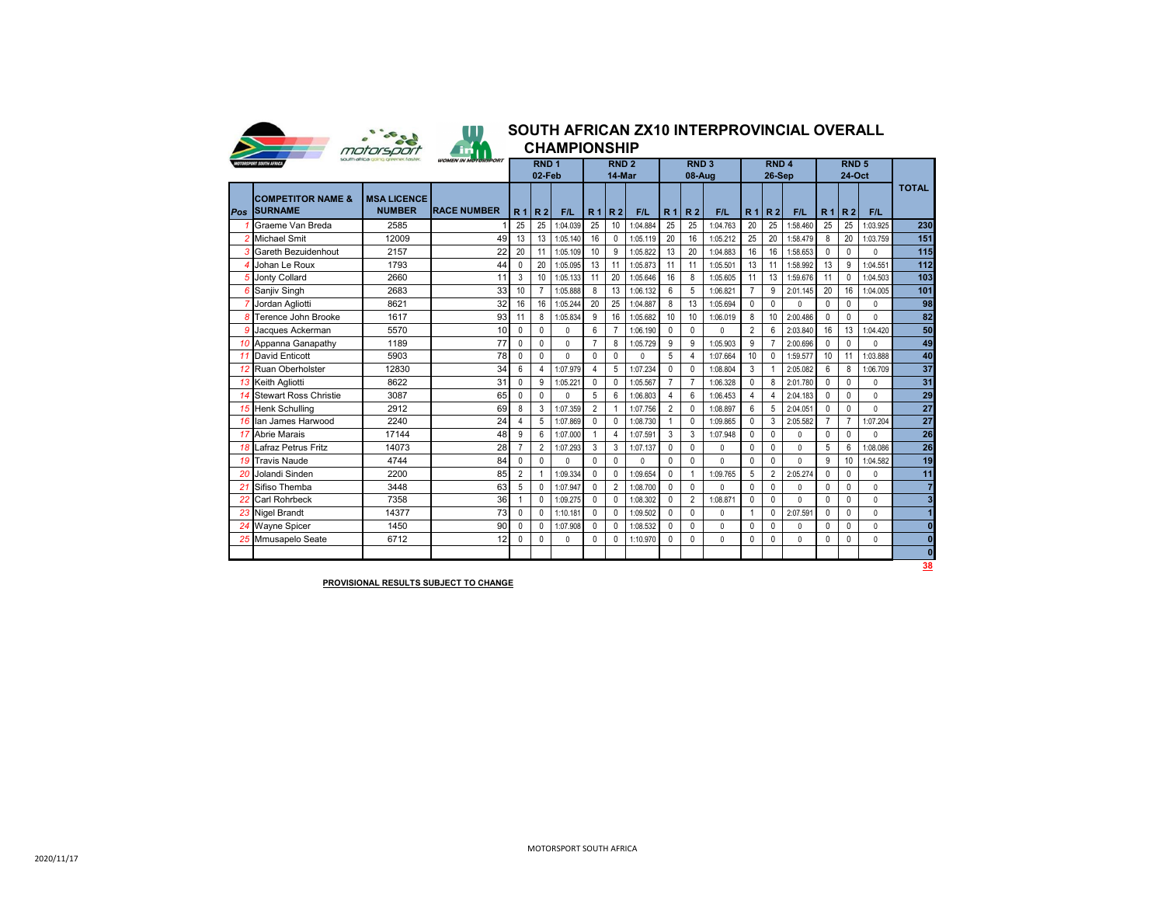

## **2020 SOUTH AFRICAN ZX10 INTERPROVINCIAL OVERALL**

|  | <b>CHAMPIONSHIP</b> |
|--|---------------------|
|  |                     |

| <b>MOTORSPORT SOUTH AFRICA</b>              |                                     |                    |                | RND <sub>1</sub><br>02-Feb |              |                | RND <sub>2</sub><br>14-Mar |              |                | RND <sub>3</sub><br>08-Aug |              |                | RND <sub>4</sub><br>26-Sep |              |                | RND <sub>5</sub><br>24-Oct |              |                         |
|---------------------------------------------|-------------------------------------|--------------------|----------------|----------------------------|--------------|----------------|----------------------------|--------------|----------------|----------------------------|--------------|----------------|----------------------------|--------------|----------------|----------------------------|--------------|-------------------------|
| <b>COMPETITOR NAME &amp;</b><br>Pos SURNAME | <b>MSA LICENCE</b><br><b>NUMBER</b> | <b>RACE NUMBER</b> | R <sub>1</sub> | R <sub>2</sub>             | F/L          | R <sub>1</sub> | R <sub>2</sub>             | F/L          | R <sub>1</sub> | R <sub>2</sub>             | F/L          | R <sub>1</sub> | R <sub>2</sub>             | F/L          | R <sub>1</sub> | R <sub>2</sub>             | F/L          | <b>TOTAL</b>            |
| Graeme Van Breda                            | 2585                                |                    | 25             | 25                         | 1:04.039     | 25             | 10                         | 1:04.884     | 25             | 25                         | 1:04.763     | 20             | 25                         | 1:58.460     | 25             | 25                         | 1:03.925     | 230                     |
| <b>Michael Smit</b>                         | 12009                               | 49                 | 13             | 13                         | 1:05.140     | 16             | 0                          | 1:05.119     | 20             | 16                         | 1:05.212     | 25             | 20                         | 1:58.479     | 8              | 20                         | 1:03.759     | 151                     |
| 3 Gareth Bezuidenhout                       | 2157                                | 22                 | 20             | 11                         | 1:05.109     | 10             | 9                          | 1:05.822     | 13             | 20                         | 1:04.883     | 16             | 16                         | 1:58.653     | $\mathbf{0}$   | $\mathbf{0}$               | 0            | $\overline{115}$        |
| Johan Le Roux                               | 1793                                | 44                 | 0              | 20                         | 1:05.095     | 13             | 11                         | 1:05.873     | 11             | 11                         | 1:05.501     | 13             | 11                         | 1:58.992     | 13             | 9                          | 1:04.551     | 112                     |
| <b>Jonty Collard</b>                        | 2660                                | 11                 | 3              | 10                         | 1:05.133     | 11             | 20                         | 1:05.646     | 16             | 8                          | 1:05.605     | 11             | 13                         | 1:59.676     | 11             | $\mathbf{0}$               | 1:04.503     | 103                     |
| <b>6</b> Sanjiv Singh                       | 2683                                | 33                 | 10             | $\overline{7}$             | 1:05.888     | 8              | 13                         | 1:06.132     | 6              | 5                          | 1:06.821     | $\overline{7}$ | 9                          | 2:01.145     | 20             | 16                         | 1:04.005     | 101                     |
| Jordan Agliotti                             | 8621                                | 32                 | 16             | 16                         | 1:05.244     | 20             | 25                         | 1:04.887     | 8              | 13                         | 1:05.694     | 0              | $\mathbf{0}$               | $\mathbf{0}$ | $\mathbf{0}$   | 0                          | $\mathbf 0$  | 98                      |
| Terence John Brooke                         | 1617                                | 93                 | 11             | 8                          | 1:05.834     | 9              | 16                         | 1:05.682     | 10             | 10                         | 1:06.019     | 8              | 10                         | 2:00.486     | $\mathbf{0}$   | $\mathbf{0}$               | $\mathbf{0}$ | 82                      |
| 9 Jacques Ackerman                          | 5570                                | 10                 | $\mathbf{0}$   | $\mathbf{0}$               | $\mathbf{0}$ | 6              |                            | 1:06.190     | $\Omega$       | 0                          | $\Omega$     | $\overline{2}$ | 6                          | 2:03.840     | 16             | 13                         | 1:04.420     | 50                      |
| 10 Appanna Ganapathy                        | 1189                                | 77                 | $\mathbf{0}$   | $\mathbf{0}$               | 0            |                | 8                          | 1:05.729     | 9              | 9                          | 1:05.903     | 9              |                            | 2:00.696     | $\mathbf{0}$   | $\Omega$                   | $\Omega$     | 49                      |
| 11 David Enticott                           | 5903                                | 78                 | $\mathbf{0}$   | $\mathbf{0}$               | $\Omega$     | $\Omega$       | $\mathbf{0}$               | $\mathbf{0}$ | 5              | 4                          | 1:07.664     | 10             | $\mathbf{0}$               | 1:59.577     | 10             | 11                         | 1:03.888     | 40                      |
| 12 Ruan Oberholster                         | 12830                               | 34                 | 6              | 4                          | 1:07.979     | $\Lambda$      | 5                          | 1:07.234     | $\mathbf{0}$   | 0                          | 1:08.804     | 3              |                            | 2:05.082     | 6              | 8                          | 1:06.709     | $\overline{37}$         |
| 13 Keith Agliotti                           | 8622                                | 31                 | $\mathbf{0}$   | 9                          | 1:05.221     | $\Omega$       | 0                          | 1:05.567     | $\overline{7}$ | $\overline{7}$             | 1:06.328     | 0              | 8                          | 2:01.780     | $\mathbf{0}$   | 0                          | 0            | 31                      |
| 14 Stewart Ross Christie                    | 3087                                | 65                 | $\mathbf{0}$   | $\mathbf{0}$               | 0            | 5              | 6                          | 1:06.803     | $\overline{4}$ | 6                          | 1:06.453     | 4              | $\overline{4}$             | 2:04.183     | $\mathbf{0}$   | $\mathbf{0}$               | $\mathbf{0}$ | 29                      |
| 15 Henk Schulling                           | 2912                                | 69                 | 8              | 3                          | 1:07.359     | $\overline{2}$ |                            | 1:07.756     | $\overline{2}$ | 0                          | 1:08.897     | 6              | 5                          | 2:04.051     | $\mathbf{0}$   | $\mathbf{0}$               | $\mathbf{0}$ | $\overline{27}$         |
| 16 Ian James Harwood                        | 2240                                | 24                 | 4              | 5                          | 1:07.869     | $\Omega$       | $\mathbf{0}$               | 1:08.730     |                | $\mathbf{0}$               | 1:09.865     | $\mathbf{0}$   | 3                          | 2:05.582     | $\overline{7}$ | $\overline{7}$             | 1:07.204     | $\overline{27}$         |
| 17 Abrie Marais                             | 17144                               | 48                 | 9              | 6                          | 1:07.000     |                | $\overline{4}$             | 1:07.591     | 3              | 3                          | 1:07.948     | 0              | 0                          | 0            | 0              | 0                          | $\mathbf{0}$ | 26                      |
| Lafraz Petrus Fritz                         | 14073                               | 28                 | $\overline{7}$ | $\overline{2}$             | 1:07.293     | 3              | 3                          | 1:07.137     | $\Omega$       | 0                          | $\mathbf{0}$ | $\mathbf{0}$   | $\mathbf{0}$               | $\mathbf{0}$ | 5              | 6                          | 1:08.086     | 26                      |
| 19 Travis Naude                             | 4744                                | 84                 | $\mathbf{0}$   | $\mathbf{0}$               | $\Omega$     | $\Omega$       | $\mathbf{0}$               | $\Omega$     | $\mathbf{0}$   | 0                          | $\Omega$     | 0              | $\mathbf{0}$               | $\mathbf{0}$ | 9              | 10                         | 1:04.582     | 19                      |
| Jolandi Sinden                              | 2200                                | 85                 | $\overline{2}$ |                            | 1:09.334     | $\Omega$       | 0                          | 1:09.654     | 0              |                            | 1:09.765     | 5              | $\overline{2}$             | 2:05.274     | $\mathbf 0$    | 0                          | 0            | 11                      |
| Sifiso Themba                               | 3448                                | 63                 | 5              | $\mathbf{0}$               | 1:07.947     | 0              | $\overline{2}$             | 1:08.700     | $\mathbf{0}$   | 0                          | $\mathbf{0}$ | 0              | 0                          | $\mathbf{0}$ | $\mathbf{0}$   | $\mathbf{0}$               | $\mathbf 0$  | $\overline{7}$          |
| 22 Carl Rohrbeck                            | 7358                                | 36                 |                | $\mathbf{0}$               | 1:09.275     | $\Omega$       | 0                          | 1:08.302     | $\mathbf{0}$   | $\overline{2}$             | 1:08.871     | $\mathbf{0}$   | $\mathbf{0}$               | $\Omega$     | $\mathbf{0}$   | $\mathbf{0}$               | $\mathbf{0}$ | $\overline{\mathbf{3}}$ |
| 23 Nigel Brandt                             | 14377                               | 73                 | $\mathbf{0}$   | $\mathbf{0}$               | 1:10.181     |                | 0                          | 1:09.502     | $\mathbf{0}$   | 0                          | $\mathbf{0}$ |                | $\mathbf{0}$               | 2:07.591     | $\mathbf{0}$   | $\mathbf{0}$               | $\mathbf 0$  |                         |
| 24 Wayne Spicer                             | 1450                                | 90                 | 0              | 0                          | 1:07.908     | $\Omega$       | 0                          | 1:08.532     | $\Omega$       | 0                          | 0            | 0              | 0                          | 0            | $\mathbf{0}$   | 0                          | $\mathbf 0$  | $\mathbf{0}$            |
| 25 Mmusapelo Seate                          | 6712                                | 12                 | 0              | 0                          | 0            | 0              | 0                          | 1:10.970     | $\mathbf{0}$   | 0                          | $\mathbf{0}$ | 0              | 0                          | $\mathbf{0}$ | 0              | 0                          | $\mathbf 0$  | $\mathbf{0}$            |
|                                             |                                     |                    |                |                            |              |                |                            |              |                |                            |              |                |                            |              |                |                            |              | $\mathbf{0}$            |
|                                             |                                     |                    |                |                            |              |                |                            |              |                |                            |              |                |                            |              |                |                            |              | 38                      |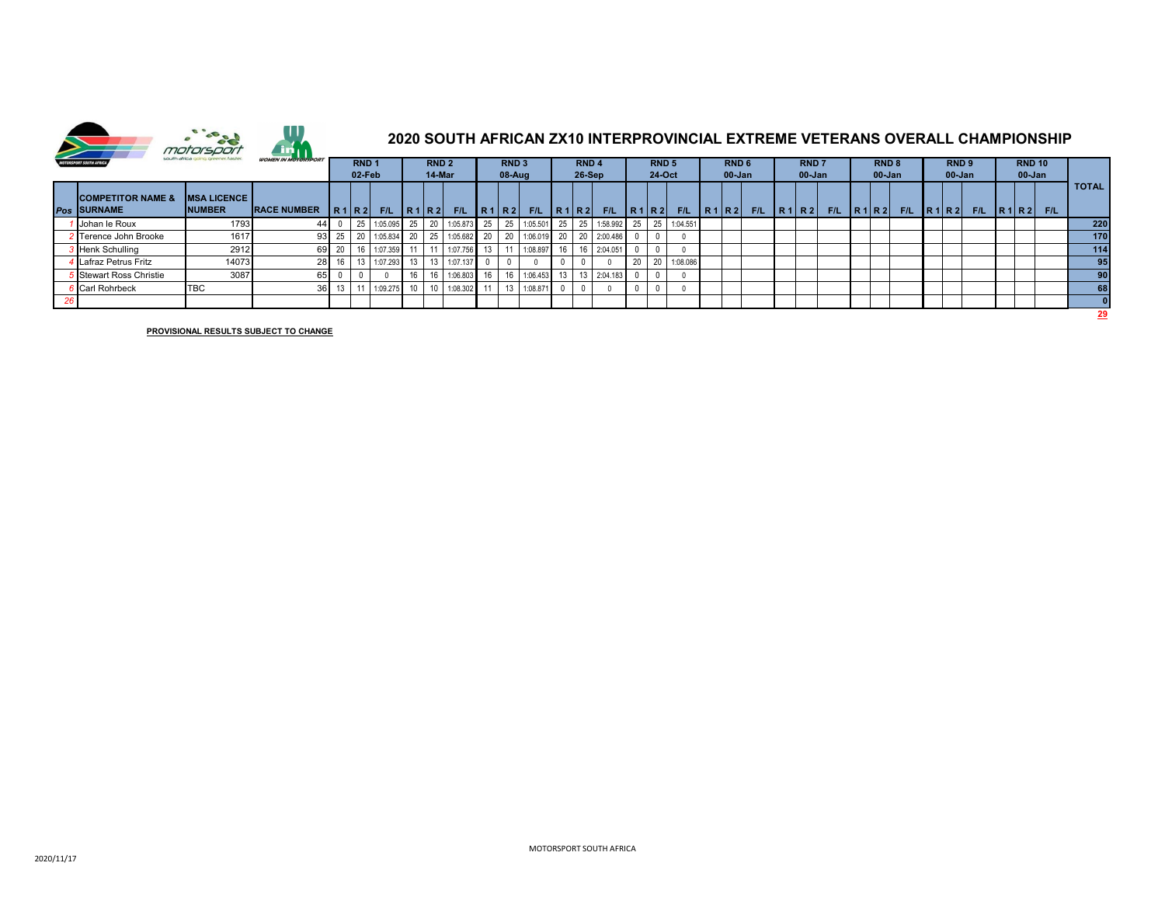

## **2020 SOUTH AFRICAN ZX10 INTERPROVINCIAL EXTREME VETERANS OVERALL CHAMPIONSHIP**

| south africa going greener, faster.<br>MOTORSPORT SOUTH AFRICA | <b>WOMEN IN MOTORSPORT</b>           | RND <sub>1</sub><br>02 Feb |         |      | RND <sub>2</sub><br>14-Mar |    |  | RND <sub>3</sub><br>$08$ -Aug |    |    | RND <sub>4</sub><br>$26-Sep$ |  |      | RND <sub>5</sub><br>24-Oct |    |      | RND <sub>6</sub><br>$00$ -Jan |      | <b>RND7</b><br>$00 - Jan$ |       |     | RND <sub>8</sub><br>00-Jan |  |     | RND <sub>9</sub><br>$00$ -Jan |  | <b>RND 10</b><br>$00 - Jan$ |      |     |                 |
|----------------------------------------------------------------|--------------------------------------|----------------------------|---------|------|----------------------------|----|--|-------------------------------|----|----|------------------------------|--|------|----------------------------|----|------|-------------------------------|------|---------------------------|-------|-----|----------------------------|--|-----|-------------------------------|--|-----------------------------|------|-----|-----------------|
| <b>COMPETITOR NAME &amp;</b><br>Pos SURNAME                    | <b>MSA LICENCE</b><br><b>INUMBER</b> | <b>RACE NUMBER</b>         |         | R1R2 | F/L                        |    |  | $ R1 R2 $ F/L $ R1 R2 $       |    |    | F/L                          |  | R1R2 | F/L                        |    | R1R2 | F/L                           | R1R2 | F/L                       | R1 R2 | F/L | R1R2                       |  | F/L | R1R2                          |  | F/L                         | R1R2 | F/L | <b>TOTAL</b>    |
| Johan le Roux                                                  | 1793                                 | 44                         |         |      | 1:05.095 25 20             |    |  | 1:05.873                      | 25 | 25 | 1:05.501                     |  |      | 25 25 1:58.992 25          |    | 25   | 1:04.551                      |      |                           |       |     |                            |  |     |                               |  |                             |      |     | 220             |
| 2 Terence John Brooke                                          | 1617                                 |                            | 93 25   |      |                            |    |  | 1:05.834 20 25 1:05.682       | 20 |    |                              |  |      | 20 1:06.019 20 20 2:00.486 |    |      |                               |      |                           |       |     |                            |  |     |                               |  |                             |      |     | 170             |
| <b>B</b> Henk Schulling                                        | 2912                                 |                            | 69 20   |      | 1:07.359 11                |    |  | 1:07.756                      |    |    | 1:08.897                     |  |      | 16 2:04.051                |    |      |                               |      |                           |       |     |                            |  |     |                               |  |                             |      |     | 114             |
| <b>I</b> Lafraz Petrus Fritz                                   | 14073                                | 28                         |         |      | 1:07.293 13                |    |  | 1:07.137                      |    |    |                              |  |      |                            | 20 | 20   | 1:08.086                      |      |                           |       |     |                            |  |     |                               |  |                             |      |     | 95              |
| Stewart Ross Christie                                          | 3087                                 | 651                        |         |      |                            |    |  | 1:06.803                      |    |    | 1:06.453                     |  |      | 13  13  2:04.183           |    |      |                               |      |                           |       |     |                            |  |     |                               |  |                             |      |     | 90 <sub>1</sub> |
| Carl Rohrbeck                                                  | <b>TBC</b>                           |                            | $36$ 13 |      | 1:09.275                   | 10 |  | 1:08.302                      | 11 | 13 | 1:08.871                     |  |      |                            |    |      |                               |      |                           |       |     |                            |  |     |                               |  |                             |      |     | 68              |
|                                                                |                                      |                            |         |      |                            |    |  |                               |    |    |                              |  |      |                            |    |      |                               |      |                           |       |     |                            |  |     |                               |  |                             |      |     |                 |
|                                                                |                                      |                            |         |      |                            |    |  |                               |    |    |                              |  |      |                            |    |      |                               |      |                           |       |     |                            |  |     |                               |  |                             | 29   |     |                 |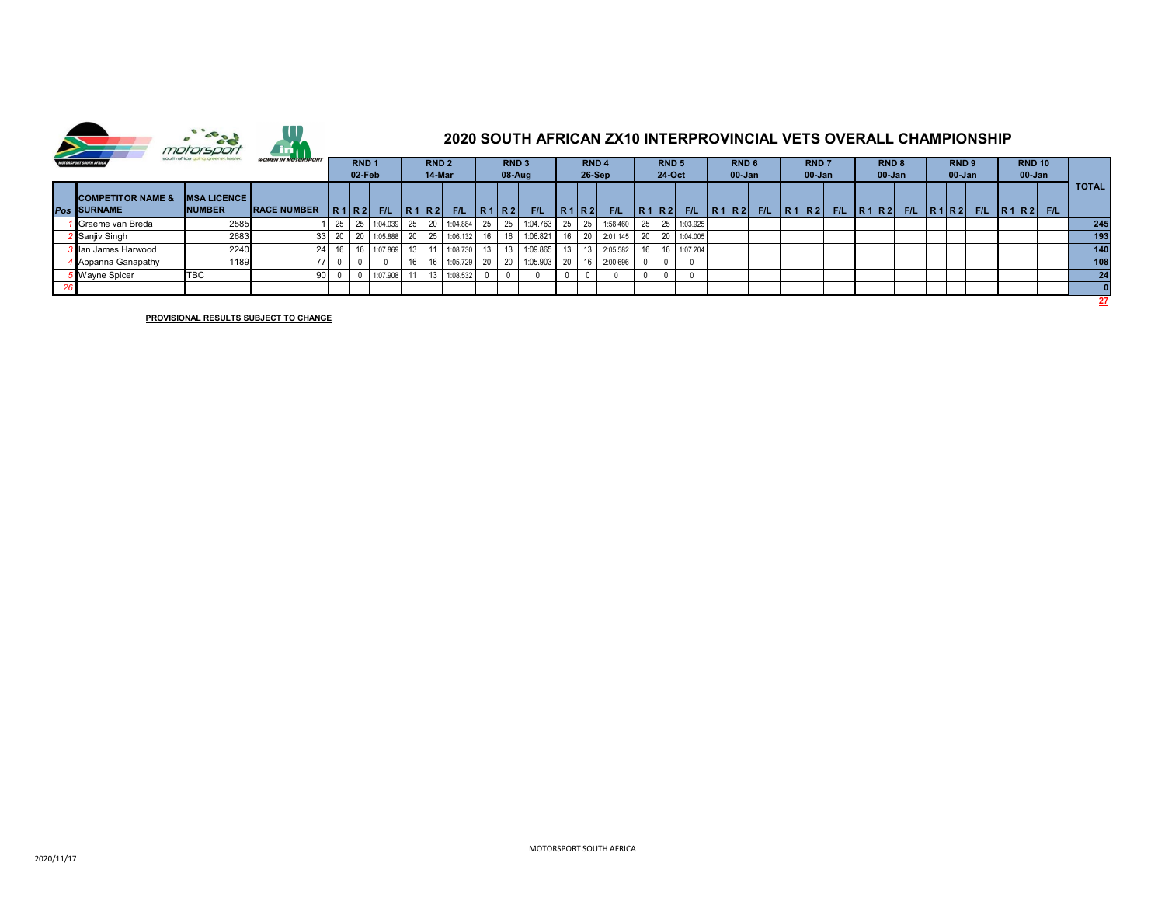

| south africa going greener, faster.<br>MOTORSPORT SOUTH AFRICA | <b>WOMEN IN MOTORSPORT</b>           |                     | RND <sub>1</sub><br>02 Feb |          |          | RND <sub>2</sub><br>14-Mar |  |          | RND <sub>3</sub><br>$08-Auq$ |            |            | RND <sub>4</sub><br>$26-Sep$ |                 |          | RND <sub>5</sub><br>24-Oct |      |                                       | RND <sub>6</sub><br>$00$ -Jan |  |     | <b>RND7</b><br>00-Jan |  |     | RND <sub>8</sub><br>$00 - Jan$ |  |     | RND <sub>9</sub><br>$00$ -Jan |  | <b>RND 10</b><br>00-Jan |  |          |              |
|----------------------------------------------------------------|--------------------------------------|---------------------|----------------------------|----------|----------|----------------------------|--|----------|------------------------------|------------|------------|------------------------------|-----------------|----------|----------------------------|------|---------------------------------------|-------------------------------|--|-----|-----------------------|--|-----|--------------------------------|--|-----|-------------------------------|--|-------------------------|--|----------|--------------|
| <b>COMPETITOR NAME &amp;</b><br>Pos SURNAME                    | <b>MSA LICENCE</b><br><b>INUMBER</b> | <b>IRACE NUMBER</b> |                            | R1 R2    | F/L      | R1R2                       |  | F/L      | IR <sub>1</sub>              | <b>IR2</b> | <b>F/L</b> | <b>IR1</b>                   | IR <sub>2</sub> | F/L      |                            | R1R2 | $F/L$   R <sub>1</sub> R <sub>2</sub> |                               |  | F/L | R1R2                  |  | F/L | R1R2                           |  | F/L | R1 R2                         |  | F/L                     |  | R1 R2 FL | <b>TOTAL</b> |
| Graeme van Breda                                               | 2585                                 |                     | 25 <sub>1</sub>            | 25       | 1:04.039 | 25 <sub>1</sub>            |  | 1:04.884 | 25                           | 25         | 1:04.763   |                              | 25 25           | 1:58.460 |                            |      | 25 25 1:03.925                        |                               |  |     |                       |  |     |                                |  |     |                               |  |                         |  |          | 245          |
| Sanjiv Singh                                                   | 2683                                 |                     |                            | 33 20 20 | 1:05.888 |                            |  | 1:06.132 |                              |            | 1:06.821   |                              |                 | 2:01.145 |                            |      | 20 20 1:04.005                        |                               |  |     |                       |  |     |                                |  |     |                               |  |                         |  |          | 193          |
| <b>3</b> Ian James Harwood                                     | 2240                                 | 24 <sup>1</sup>     |                            |          | 1:07.869 | 13                         |  | 1:08.730 |                              |            | 1:09.865   |                              |                 | 2:05.582 |                            |      | 1:07.204                              |                               |  |     |                       |  |     |                                |  |     |                               |  |                         |  |          | 140          |
| <b>Appanna Ganapathy</b>                                       | 1189                                 | 77                  |                            |          |          |                            |  | 1:05.729 | n <sub>0</sub>               | 20         | 1:05.903   | 20                           |                 | 2:00.696 |                            |      |                                       |                               |  |     |                       |  |     |                                |  |     |                               |  |                         |  |          | 108          |
| Wayne Spicer                                                   | <b>TBC</b>                           | 90                  |                            |          | 1:07.908 |                            |  | 1:08.532 |                              |            |            |                              |                 |          |                            |      |                                       |                               |  |     |                       |  |     |                                |  |     |                               |  |                         |  |          | 24           |
|                                                                |                                      |                     |                            |          |          |                            |  |          |                              |            |            |                              |                 |          |                            |      |                                       |                               |  |     |                       |  |     |                                |  |     |                               |  |                         |  |          |              |
|                                                                |                                      |                     |                            |          |          |                            |  |          |                              |            |            |                              |                 |          |                            |      |                                       |                               |  |     |                       |  |     |                                |  |     |                               |  |                         |  |          | 27           |